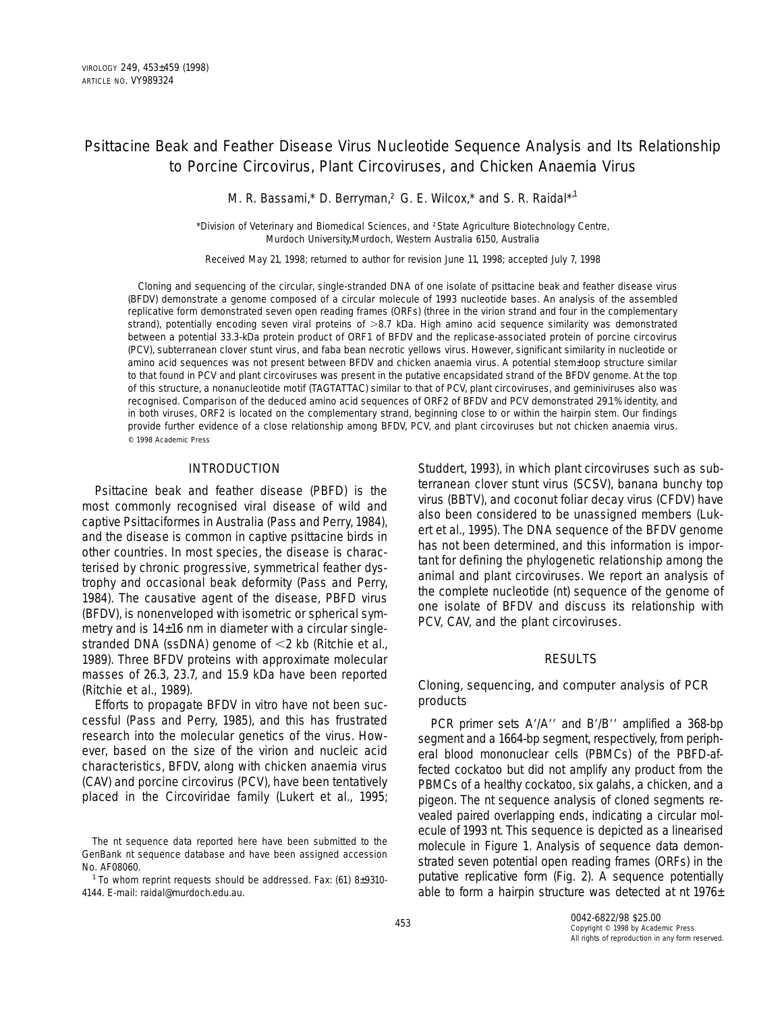# Psittacine Beak and Feather Disease Virus Nucleotide Sequence Analysis and Its Relationship to Porcine Circovirus, Plant Circoviruses, and Chicken Anaemia Virus

M. R. Bassami,\* D. Berryman, † G. E. Wilcox,\* and S. R. Raidal\*,<sup>1</sup>

\**Division of Veterinary and Biomedical Sciences, and* †*State Agriculture Biotechnology Centre, Murdoch University,Murdoch, Western Australia 6150, Australia*

*Received May 21, 1998; returned to author for revision June 11, 1998; accepted July 7, 1998*

Cloning and sequencing of the circular, single-stranded DNA of one isolate of psittacine beak and feather disease virus (BFDV) demonstrate a genome composed of a circular molecule of 1993 nucleotide bases. An analysis of the assembled replicative form demonstrated seven open reading frames (ORFs) (three in the virion strand and four in the complementary strand), potentially encoding seven viral proteins of >8.7 kDa. High amino acid sequence similarity was demonstrated between a potential 33.3-kDa protein product of ORF1 of BFDV and the replicase-associated protein of porcine circovirus (PCV), subterranean clover stunt virus, and faba bean necrotic yellows virus. However, significant similarity in nucleotide or amino acid sequences was not present between BFDV and chicken anaemia virus. A potential stem–loop structure similar to that found in PCV and plant circoviruses was present in the putative encapsidated strand of the BFDV genome. At the top of this structure, a nonanucleotide motif (TAGTATTAC) similar to that of PCV, plant circoviruses, and geminiviruses also was recognised. Comparison of the deduced amino acid sequences of ORF2 of BFDV and PCV demonstrated 29.1% identity, and in both viruses, ORF2 is located on the complementary strand, beginning close to or within the hairpin stem. Our findings provide further evidence of a close relationship among BFDV, PCV, and plant circoviruses but not chicken anaemia virus. © 1998 Academic Press

## INTRODUCTION

Psittacine beak and feather disease (PBFD) is the most commonly recognised viral disease of wild and captive *Psittaciformes* in Australia (Pass and Perry, 1984), and the disease is common in captive psittacine birds in other countries. In most species, the disease is characterised by chronic progressive, symmetrical feather dystrophy and occasional beak deformity (Pass and Perry, 1984). The causative agent of the disease, PBFD virus (BFDV), is nonenveloped with isometric or spherical symmetry and is 14–16 nm in diameter with a circular singlestranded DNA (ssDNA) genome of <2 kb (Ritchie *et al.*, 1989). Three BFDV proteins with approximate molecular masses of 26.3, 23.7, and 15.9 kDa have been reported (Ritchie *et al.,* 1989).

Efforts to propagate BFDV *in vitro* have not been successful (Pass and Perry, 1985), and this has frustrated research into the molecular genetics of the virus. However, based on the size of the virion and nucleic acid characteristics, BFDV, along with chicken anaemia virus (CAV) and porcine circovirus (PCV), have been tentatively placed in the *Circoviridae* family (Lukert *et al.,* 1995;

<sup>1</sup> To whom reprint requests should be addressed. Fax: (61) 8-9310-4144. E-mail: raidal@murdoch.edu.au.

Studdert, 1993), in which plant circoviruses such as subterranean clover stunt virus (SCSV), banana bunchy top virus (BBTV), and coconut foliar decay virus (CFDV) have also been considered to be unassigned members (Lukert *et al.,* 1995). The DNA sequence of the BFDV genome has not been determined, and this information is important for defining the phylogenetic relationship among the animal and plant circoviruses. We report an analysis of the complete nucleotide (nt) sequence of the genome of one isolate of BFDV and discuss its relationship with PCV, CAV, and the plant circoviruses.

## RESULTS

## Cloning, sequencing, and computer analysis of PCR products

PCR primer sets A'/A'' and B'/B'' amplified a 368-bp segment and a 1664-bp segment, respectively, from peripheral blood mononuclear cells (PBMCs) of the PBFD-affected cockatoo but did not amplify any product from the PBMCs of a healthy cockatoo, six galahs, a chicken, and a pigeon. The nt sequence analysis of cloned segments revealed paired overlapping ends, indicating a circular molecule of 1993 nt. This sequence is depicted as a linearised molecule in Figure 1. Analysis of sequence data demonstrated seven potential open reading frames (ORFs) in the putative replicative form (Fig. 2). A sequence potentially able to form a hairpin structure was detected at nt 1976–

The nt sequence data reported here have been submitted to the GenBank nt sequence database and have been assigned accession No. AF08060.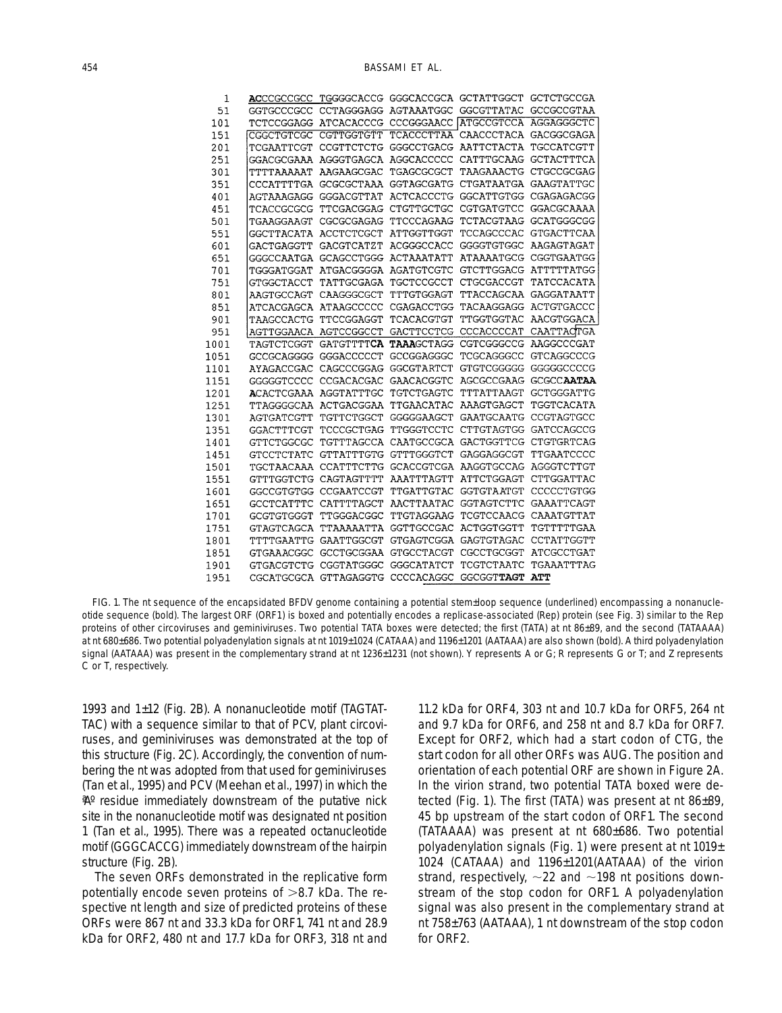| 1    |                    |                                             |                                  | ACCCGCCGCC TGGGGCACCG GGGCACCGCA GCTATTGGCT GCTCTGCCGA |                       |
|------|--------------------|---------------------------------------------|----------------------------------|--------------------------------------------------------|-----------------------|
| 51   | GGTGCCCGCC         |                                             | CCTAGGGAGG AGTAAATGGC GGCGTTATAC |                                                        | GCCGCCGTAA            |
| 101  |                    | TCTCCGGAGG ATCACACCCG CCCGGGAACC ATGCCGTCCA |                                  |                                                        | AGGAGGGCTC            |
| 151  | CGGCTGTCGC         | CGTTGGTGTT                                  |                                  | TCACCCTTAA CAACCCTACA GACGGCGAGA                       |                       |
| 201  | TCGAATTCGT         |                                             |                                  | CCGTTCTCTG GGGCCTGACG AATTCTACTA                       | TGCCATCGTT            |
| 251  |                    | GGACGCGAAA AGGGTGAGCA AGGCACCCCC            |                                  |                                                        | CATTTGCAAG GCTACTTTCA |
| 301  | TTTTAAAAAT         | AAGAAGCGAC                                  | TGAGCGCGCT                       |                                                        | TAAGAAACTG CTGCCGCGAG |
| 351  | CCCATTTTGA         | GCGCGCTAAA                                  | GGTAGCGATG                       | CTGATAATGA GAAGTATTGC                                  |                       |
| 401  | AGTAAAGAGG         | GGGACGTTAT                                  | ACTCACCCTG                       |                                                        | GGCATTGTGG CGAGAGACGG |
| 451  | TCACCGCGCG         | TTCGACGGAG                                  | CTGTTGCTGC                       | CGTGATGTCC                                             | GGACGCAAAA            |
| 501  | TGAAGGAAGT         | CGCGCGAGAG                                  | TTCCCAGAAG                       | TCTACGTAAG                                             | GCATGGGCGG            |
| 551  | GGCTTACATA         | <b>ACCTCTCGCT</b>                           | ATTGGTTGGT                       | TCCAGCCCAC                                             | GTGACTTCAA            |
| 601  | GACTGAGGTT         | <b>GACGTCATZT</b>                           | ACGGGCCACC                       | GGGGTGTGGC                                             | AAGAGTAGAT            |
| 651  |                    | GGGCCAATGA GCAGCCTGGG                       | ACTAAATATT                       |                                                        | ATAAAATGCG CGGTGAATGG |
| 701  | TGGGATGGAT         | ATGACGGGGA                                  | AGATGTCGTC                       |                                                        | GTCTTGGACG ATTTTTATGG |
| 751  | GTGGCTACCT         | TATTGCGAGA                                  | <b>TGCTCCGCCT</b>                | CTGCGACCGT                                             | TATCCACATA            |
| 801  | AAGTGCCAGT         | CAAGGGCGCT                                  | TTTGTGGAGT                       | TTACCAGCAA                                             | GAGGATAATT            |
| 851  |                    | ATCACGAGCA ATAAGCCCCC                       | CGAGACCTGG                       | TACAAGGAGG                                             | ACTGTGACCC            |
| 901  | TAAGCCACTG         | TTCCGGAGGT                                  | TCACACGTGT                       | TTGGTGGTAC                                             | AACGTGGACA            |
| 951  | AGTTGGAACA         | AGTCCGGCCT                                  | <b>GACTTCCTCG</b>                | CCCACCCCAT                                             | CAATTACTGA            |
| .001 | TAGTCTCGGT         | <b>GATGTTTTCA</b>                           | TAAAGCTAGG                       | CGTCGGGCCG                                             | AAGGCCCGAT            |
| l051 | GCCGCAGGGG         | GGGACCCCCT                                  | GCCGGAGGGC                       | TCGCAGGGCC                                             | GTCAGGCCCG            |
| L101 | AYAGACCGAC         | CAGCCCGGAG                                  | <b>GGCGTARTCT</b>                | GTGTCGGGGG                                             | GGGGGCCCCG            |
| l151 | GGGGGTCCCC         | CCGACACGAC                                  | GAACACGGTC                       | AGCGCCGAAG                                             | <b>GCGCCAATAA</b>     |
| L201 | <b>A</b> CACTCGAAA | AGGTATTTGC                                  | TGTCTGAGTC                       | TTTATTAAGT                                             | GCTGGGATTG            |
| 1251 |                    | TTAGGGGCAA ACTGACGGAA                       | TTGAACATAC                       | AAAGTGAGCT                                             | TGGTCACATA            |
| 1301 | AGTGATCGTT         | TGTTCTGGCT                                  | GGGGGAAGCT                       | <b>GAATGCAATG</b>                                      | CCGTAGTGCC            |
| 1351 | GGACTTTCGT         | TCCCGCTGAG                                  | TTGGGTCCTC                       | CTTGTAGTGG                                             | GATCCAGCCG            |
| l401 | GTTCTGGCGC         | TGTTTAGCCA                                  | CAATGCCGCA                       | GACTGGTTCG                                             | CTGTGRTCAG            |
| 1451 | GTCCTCTATC         | GTTATTTGTG                                  | GTTTGGGTCT                       | GAGGAGGCGT                                             | TTGAATCCCC            |
| 1501 |                    | TGCTAACAAA CCATTTCTTG GCACCGTCGA AAGGTGCCAG |                                  |                                                        | AGGGTCTTGT            |
| 1551 | GTTTGGTCTG         | CAGTAGTTTT                                  | AAATTTAGTT                       | ATTCTGGAGT                                             | CTTGGATTAC            |
| 1601 | GGCCGTGTGG         | CCGAATCCGT                                  | TTGATTGTAC                       | GGTGTAATGT                                             | CCCCCTGTGG            |
| 1651 | <b>GCCTCATTTC</b>  | CATTTTAGCT                                  | AACTTAATAC                       | GGTAGTCTTC                                             | <b>GAAATTCAGT</b>     |
| 1701 | <b>GCGTGTGGGT</b>  | TTGGGACGGC                                  | TTGTAGGAAG                       | TCGTCCAACG                                             | CAAATGTTAT            |
| 1751 | GTAGTCAGCA         | TTAAAAATTA                                  | GGTTGCCGAC                       | <b>ACTGGTGGTT</b>                                      | TGTTTTTGAA            |
| 1801 | TTTTGAATTG         | GAATTGGCGT                                  | GTGAGTCGGA                       | GAGTGTAGAC                                             | CCTATTGGTT            |
| 1851 | GTGAAACGGC         | <b>GCCTGCGGAA</b>                           | GTGCCTACGT                       | CGCCTGCGGT                                             | ATCGCCTGAT            |
| 1901 | GTGACGTCTG         | CGGTATGGGC                                  | GGGCATATCT                       | TCGTCTAATC                                             | TGAAATTTAG            |
| 1951 |                    | CGCATGCGCA GTTAGAGGTG CCCCACAGGC            |                                  | <b>GGCGGTTAGT</b>                                      | ATT                   |

FIG. 1. The nt sequence of the encapsidated BFDV genome containing a potential stem–loop sequence (underlined) encompassing a nonanucleotide sequence (bold). The largest ORF (ORF1) is boxed and potentially encodes a replicase-associated (Rep) protein (see Fig. 3) similar to the Rep proteins of other circoviruses and geminiviruses. Two potential TATA boxes were detected; the first (TATA) at nt 86–89, and the second (TATAAAA) at nt 680–686. Two potential polyadenylation signals at nt 1019–1024 (CATAAA) and 1196–1201 (AATAAA) are also shown (bold). A third polyadenylation signal (AATAAA) was present in the complementary strand at nt 1236–1231 (not shown). Y represents A or G; R represents G or T; and Z represents C or T, respectively.

1993 and 1–12 (Fig. 2B). A nonanucleotide motif (TAGTAT-TAC) with a sequence similar to that of PCV, plant circoviruses, and geminiviruses was demonstrated at the top of this structure (Fig. 2C). Accordingly, the convention of numbering the nt was adopted from that used for geminiviruses (Tan *et al.,* 1995) and PCV (Meehan *et al.,* 1997) in which the "A" residue immediately downstream of the putative nick site in the nonanucleotide motif was designated nt position 1 (Tan *et al.,* 1995). There was a repeated octanucleotide motif (GGGCACCG) immediately downstream of the hairpin structure (Fig. 2B).

The seven ORFs demonstrated in the replicative form potentially encode seven proteins of  $>8.7$  kDa. The respective nt length and size of predicted proteins of these ORFs were 867 nt and 33.3 kDa for ORF1, 741 nt and 28.9 kDa for ORF2, 480 nt and 17.7 kDa for ORF3, 318 nt and 11.2 kDa for ORF4, 303 nt and 10.7 kDa for ORF5, 264 nt and 9.7 kDa for ORF6, and 258 nt and 8.7 kDa for ORF7. Except for ORF2, which had a start codon of CTG, the start codon for all other ORFs was AUG. The position and orientation of each potential ORF are shown in Figure 2A. In the virion strand, two potential TATA boxed were detected (Fig. 1). The first (TATA) was present at nt 86–89, 45 bp upstream of the start codon of ORF1. The second (TATAAAA) was present at nt 680–686. Two potential polyadenylation signals (Fig. 1) were present at nt 1019– 1024 (CATAAA) and 1196–1201(AATAAA) of the virion strand, respectively,  $\sim$ 22 and  $\sim$ 198 nt positions downstream of the stop codon for ORF1. A polyadenylation signal was also present in the complementary strand at nt 758–763 (AATAAA), 1 nt downstream of the stop codon for ORF2.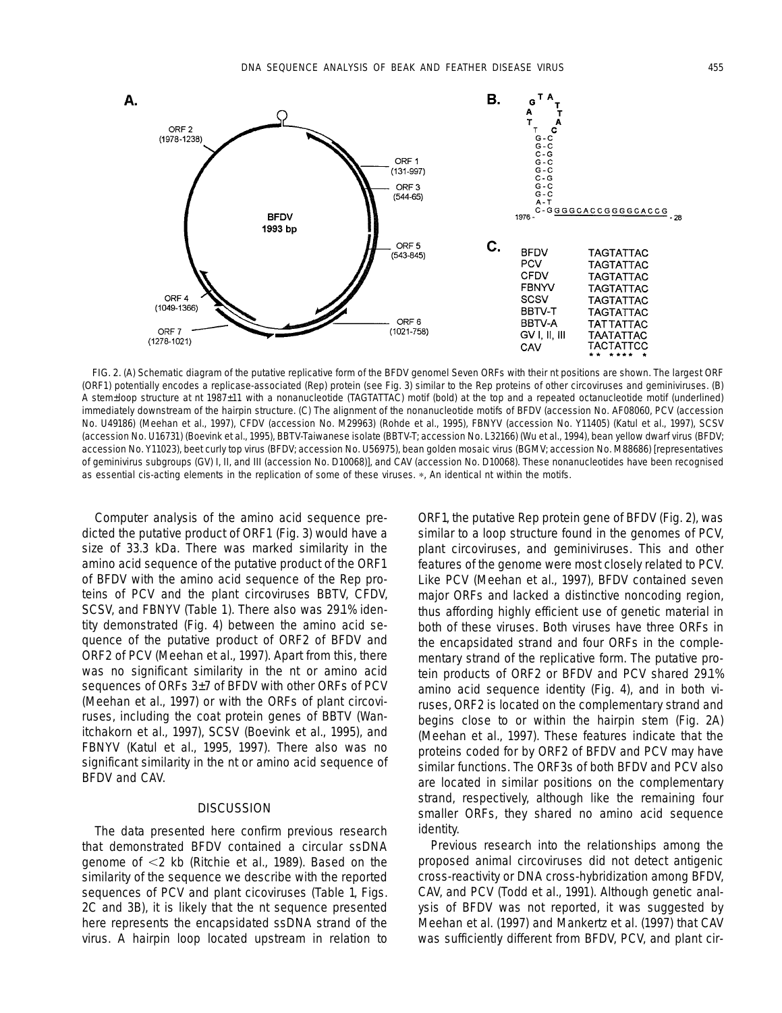

FIG. 2. (A) Schematic diagram of the putative replicative form of the BFDV genomel Seven ORFs with their nt positions are shown. The largest ORF (ORF1) potentially encodes a replicase-associated (Rep) protein (see Fig. 3) similar to the Rep proteins of other circoviruses and geminiviruses. (B) A stem–loop structure at nt 1987–11 with a nonanucleotide (TAGTATTAC) motif (bold) at the top and a repeated octanucleotide motif (underlined) immediately downstream of the hairpin structure. (C) The alignment of the nonanucleotide motifs of BFDV (accession No. AF08060, PCV (accession No. U49186) (Meehan *et al.,* 1997), CFDV (accession No. M29963) (Rohde *et al.,* 1995), FBNYV (accession No. Y11405) (Katul *et al.,* 1997), SCSV (accession No. U16731) (Boevink *et al.,* 1995), BBTV-Taiwanese isolate (BBTV-T; accession No. L32166) (Wu *et al.,* 1994), bean yellow dwarf virus (BFDV; accession No. Y11023), beet curly top virus (BFDV; accession No. U56975), bean golden mosaic virus (BGMV; accession No. M88686) [representatives of geminivirus subgroups (GV) I, II, and III (accession No. D10068)], and CAV (accession No. D10068). These nonanucleotides have been recognised as essential *cis*-acting elements in the replication of some of these viruses. \*, An identical nt within the motifs.

Computer analysis of the amino acid sequence predicted the putative product of ORF1 (Fig. 3) would have a size of 33.3 kDa. There was marked similarity in the amino acid sequence of the putative product of the ORF1 of BFDV with the amino acid sequence of the Rep proteins of PCV and the plant circoviruses BBTV, CFDV, SCSV, and FBNYV (Table 1). There also was 29.1% identity demonstrated (Fig. 4) between the amino acid sequence of the putative product of ORF2 of BFDV and ORF2 of PCV (Meehan *et al.,* 1997). Apart from this, there was no significant similarity in the nt or amino acid sequences of ORFs 3–7 of BFDV with other ORFs of PCV (Meehan *et al.,* 1997) or with the ORFs of plant circoviruses, including the coat protein genes of BBTV (Wanitchakorn *et al.,* 1997), SCSV (Boevink *et al.,* 1995), and FBNYV (Katul *et al.,* 1995, 1997). There also was no significant similarity in the nt or amino acid sequence of BFDV and CAV.

## **DISCUSSION**

The data presented here confirm previous research that demonstrated BFDV contained a circular ssDNA genome of ,2 kb (Ritchie *et al.,* 1989). Based on the similarity of the sequence we describe with the reported sequences of PCV and plant cicoviruses (Table 1, Figs. 2C and 3B), it is likely that the nt sequence presented here represents the encapsidated ssDNA strand of the virus. A hairpin loop located upstream in relation to ORF1, the putative Rep protein gene of BFDV (Fig. 2), was similar to a loop structure found in the genomes of PCV, plant circoviruses, and geminiviruses. This and other features of the genome were most closely related to PCV. Like PCV (Meehan *et al.,* 1997), BFDV contained seven major ORFs and lacked a distinctive noncoding region, thus affording highly efficient use of genetic material in both of these viruses. Both viruses have three ORFs in the encapsidated strand and four ORFs in the complementary strand of the replicative form. The putative protein products of ORF2 or BFDV and PCV shared 29.1% amino acid sequence identity (Fig. 4), and in both viruses, ORF2 is located on the complementary strand and begins close to or within the hairpin stem (Fig. 2A) (Meehan *et al.,* 1997). These features indicate that the proteins coded for by ORF2 of BFDV and PCV may have similar functions. The ORF3s of both BFDV and PCV also are located in similar positions on the complementary strand, respectively, although like the remaining four smaller ORFs, they shared no amino acid sequence identity.

Previous research into the relationships among the proposed animal circoviruses did not detect antigenic cross-reactivity or DNA cross-hybridization among BFDV, CAV, and PCV (Todd *et al.,* 1991). Although genetic analysis of BFDV was not reported, it was suggested by Meehan *et al.* (1997) and Mankertz *et al.* (1997) that CAV was sufficiently different from BFDV, PCV, and plant cir-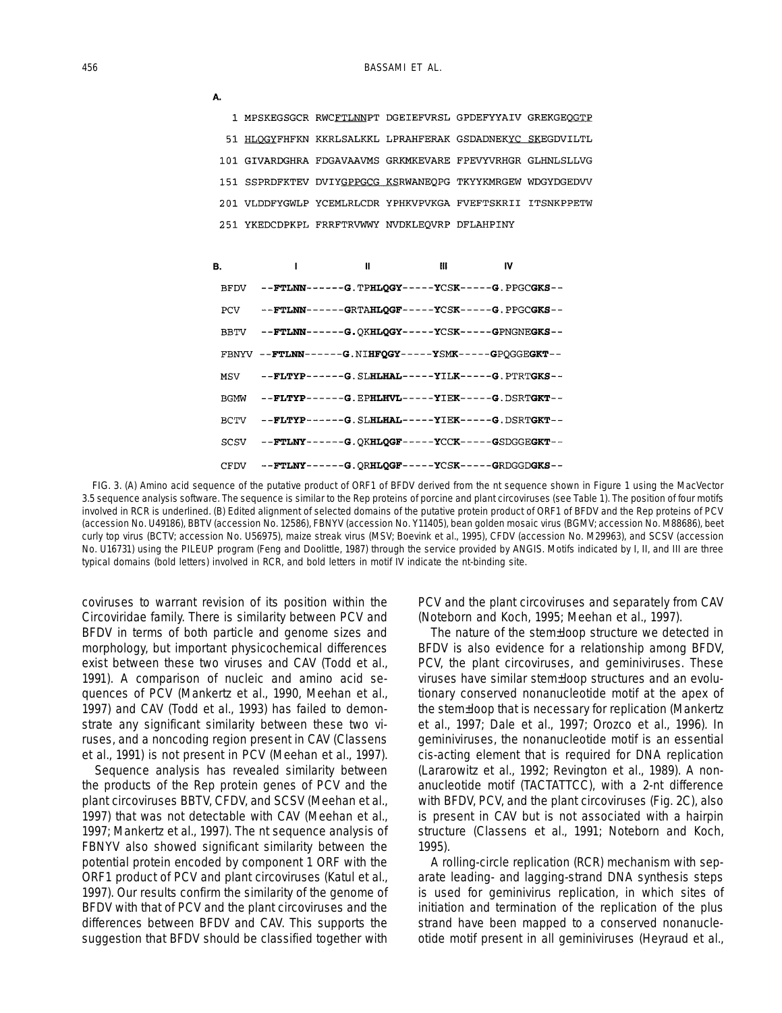|             |              |   |                                                | 1 MPSKEGSGCR RWCFTLNNPT DGEIEFVRSL GPDEFYYAIV GREKGEOGTP   |  |
|-------------|--------------|---|------------------------------------------------|------------------------------------------------------------|--|
|             |              |   |                                                | 51 HLOGYFHFKN KKRLSALKKL LPRAHFERAK GSDADNEKYC SKEGDVILTL  |  |
|             |              |   |                                                | 101 GIVARDGHRA FDGAVAAVMS GRKMKEVARE FPEVYVRHGR GLHNLSLLVG |  |
|             |              |   |                                                | 151 SSPRDFKTEV DVIYGPPGCG KSRWANEOPG TKYYKMRGEW WDGYDGEDVV |  |
|             |              |   |                                                | 201 VLDDFYGWLP YCEMLRLCDR YPHKVPVKGA FVEFTSKRII ITSNKPPETW |  |
|             |              |   | 251 YKEDCDPKPL FRRFTRVWWY NVDKLEOVRP DFLAHPINY |                                                            |  |
|             |              |   |                                                |                                                            |  |
| В.          | $\mathbf{I}$ | Ш | Ш                                              | IV                                                         |  |
| BFDV        |              |   |                                                | --FTLNN------G. TPHLQGY-----YCSK-----G. PPGCGKS--          |  |
| PCV         |              |   |                                                | --FTLNN------GRTAHLQGF-----YCSK------G.PPGCGKS--           |  |
| <b>BBTV</b> |              |   |                                                | --FTLNN------G.OKHLQGY-----YCSK------GPNGNEGKS--           |  |
|             |              |   |                                                | $FBNYV - -FTLNN---G. NIHFOGY---YSMK---GPOGGEGKT---$        |  |
| MSV         |              |   |                                                | --FLTYP------G. SLHLHAL-----YILK-----G. PTRTGKS--          |  |
| <b>BGMW</b> |              |   |                                                | --FLTYP------G. EPHLHVL-----YIEK-----G. DSRTGKT--          |  |
| BCTV        |              |   |                                                | --FLTYP------G. SLHLHAL-----YIEK-----G. DSRTGKT--          |  |
| SCSV        |              |   |                                                | --FTLNY------G.OKHLOGF-----YCCK-----GSDGGEGKT--            |  |
| CFDV        |              |   |                                                | --FTLNY------G.ORHLQGF-----YCSK------GRDGGDGKS--           |  |

FIG. 3. (A) Amino acid sequence of the putative product of ORF1 of BFDV derived from the nt sequence shown in Figure 1 using the MacVector 3.5 sequence analysis software. The sequence is similar to the Rep proteins of porcine and plant circoviruses (see Table 1). The position of four motifs involved in RCR is underlined. (B) Edited alignment of selected domains of the putative protein product of ORF1 of BFDV and the Rep proteins of PCV (accession No. U49186), BBTV (accession No. 12586), FBNYV (accession No. Y11405), bean golden mosaic virus (BGMV; accession No. M88686), beet curly top virus (BCTV; accession No. U56975), maize streak virus (MSV; Boevink *et al.,* 1995), CFDV (accession No. M29963), and SCSV (accession No. U16731) using the PILEUP program (Feng and Doolittle, 1987) through the service provided by ANGIS. Motifs indicated by I, II, and III are three typical domains (bold letters) involved in RCR, and bold letters in motif IV indicate the nt-binding site.

coviruses to warrant revision of its position within the *Circoviridae* family. There is similarity between PCV and BFDV in terms of both particle and genome sizes and morphology, but important physicochemical differences exist between these two viruses and CAV (Todd *et al.,* 1991). A comparison of nucleic and amino acid sequences of PCV (Mankertz *et al.,* 1990, Meehan *et al.,* 1997) and CAV (Todd *et al.,* 1993) has failed to demonstrate any significant similarity between these two viruses, and a noncoding region present in CAV (Classens *et al.,* 1991) is not present in PCV (Meehan *et al.,* 1997).

Sequence analysis has revealed similarity between the products of the Rep protein genes of PCV and the plant circoviruses BBTV, CFDV, and SCSV (Meehan *et al.,* 1997) that was not detectable with CAV (Meehan *et al.,* 1997; Mankertz *et al.,* 1997). The nt sequence analysis of FBNYV also showed significant similarity between the potential protein encoded by component 1 ORF with the ORF1 product of PCV and plant circoviruses (Katul *et al.,* 1997). Our results confirm the similarity of the genome of BFDV with that of PCV and the plant circoviruses and the differences between BFDV and CAV. This supports the suggestion that BFDV should be classified together with PCV and the plant circoviruses and separately from CAV (Noteborn and Koch, 1995; Meehan *et al.,* 1997).

The nature of the stem–loop structure we detected in BFDV is also evidence for a relationship among BFDV, PCV, the plant circoviruses, and geminiviruses. These viruses have similar stem–loop structures and an evolutionary conserved nonanucleotide motif at the apex of the stem–loop that is necessary for replication (Mankertz *et al.,* 1997; Dale *et al.,* 1997; Orozco *et al.,* 1996). In geminiviruses, the nonanucleotide motif is an essential *cis*-acting element that is required for DNA replication (Lararowitz *et al.,* 1992; Revington *et al.,* 1989). A nonanucleotide motif (TACTATTCC), with a 2-nt difference with BFDV, PCV, and the plant circoviruses (Fig. 2C), also is present in CAV but is not associated with a hairpin structure (Classens *et al.,* 1991; Noteborn and Koch, 1995).

A rolling-circle replication (RCR) mechanism with separate leading- and lagging-strand DNA synthesis steps is used for geminivirus replication, in which sites of initiation and termination of the replication of the plus strand have been mapped to a conserved nonanucleotide motif present in all geminiviruses (Heyraud *et al.,*

A.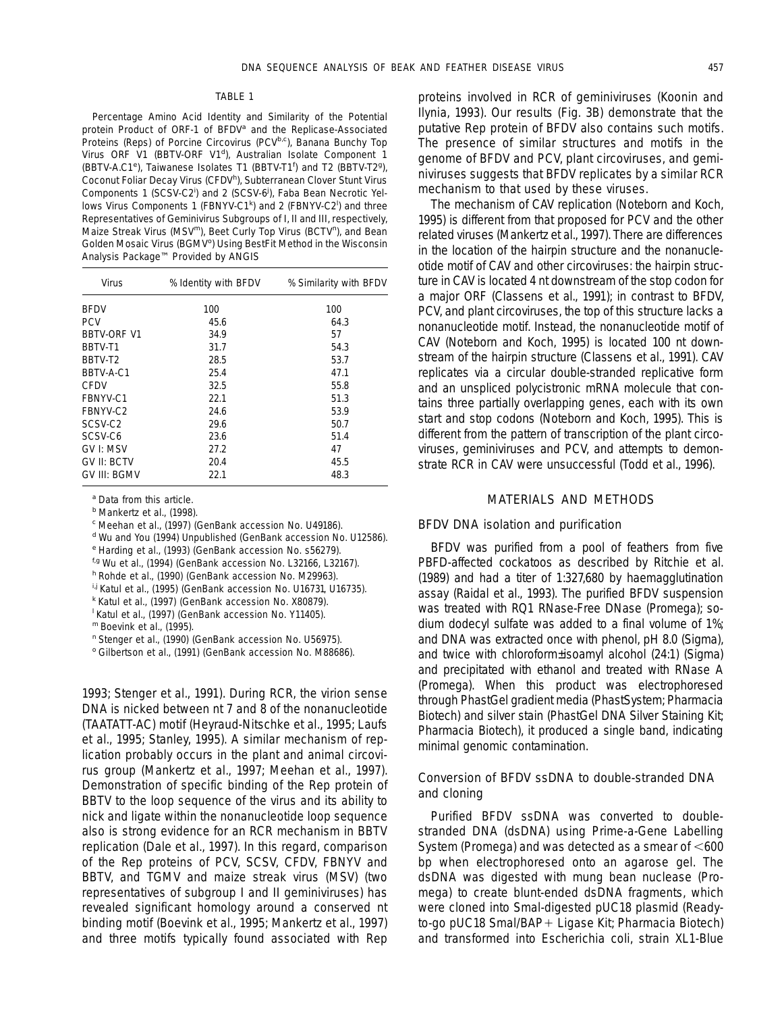#### TABLE 1

Percentage Amino Acid Identity and Similarity of the Potential protein Product of ORF-1 of BFDV*<sup>a</sup>* and the Replicase-Associated Proteins (Reps) of Porcine Circovirus (PCV<sup>b,c</sup>), Banana Bunchy Top Virus ORF V1 (BBTV-ORF V1*<sup>d</sup>* ), Australian Isolate Component 1 (BBTV-A.C1*<sup>e</sup>* ), Taiwanese Isolates T1 (BBTV-T1*<sup>f</sup>* ) and T2 (BBTV-T2*<sup>g</sup>* ), Coconut Foliar Decay Virus (CFDV<sup>h</sup>), Subterranean Clover Stunt Virus Components 1 (SCSV-C2<sup>)</sup> and 2 (SCSV-6<sup>)</sup>, Faba Bean Necrotic Yellows Virus Components 1 (FBNYV-C1<sup>k</sup>) and 2 (FBNYV-C2<sup>)</sup> and three Representatives of Geminivirus Subgroups of I, II and III, respectively, Maize Streak Virus (MSV*m*), Beet Curly Top Virus (BCTV*<sup>n</sup>* ), and Bean Golden Mosaic Virus (BGMV*<sup>o</sup>* ) Using BestFit Method in the Wisconsin Analysis Package™ Provided by ANGIS

| Virus              | % Identity with BFDV | % Similarity with BFDV |
|--------------------|----------------------|------------------------|
| <b>BEDV</b>        | 100                  | 100                    |
| <b>PCV</b>         | 45.6                 | 64.3                   |
| <b>BBTV-ORF V1</b> | 34.9                 | 57                     |
| BBTV-T1            | 31.7                 | 54.3                   |
| BBTV-T2            | 28.5                 | 53.7                   |
| BBTV-A-C1          | 25.4                 | 47.1                   |
| CEDV               | 32.5                 | 55.8                   |
| FBNYV-C1           | 22.1                 | 51.3                   |
| FBNYV-C2           | 24.6                 | 53.9                   |
| SCSV-C2            | 29.6                 | 50.7                   |
| SCSV-C6            | 23.6                 | 51.4                   |
| GV I: MSV          | 27.2                 | 47                     |
| GV II: BCTV        | 20.4                 | 45.5                   |
| GV III: BGMV       | 22.1                 | 48.3                   |

*<sup>a</sup>* Data from this article.

*<sup>b</sup>* Mankertz *et al.,* (1998).

*<sup>c</sup>* Meehan *et al.,* (1997) (GenBank accession No. U49186).

*<sup>d</sup>* Wu and You (1994) Unpublished (GenBank accession No. U12586).

*<sup>e</sup>* Harding *et al.,* (1993) (GenBank accession No. s56279).

*f,g* Wu *et al.,* (1994) (GenBank accession No. L32166, L32167).

*<sup>h</sup>* Rohde *et al.,* (1990) (GenBank accession No. M29963).

*i,j* Katul *et al.,* (1995) (GenBank accession No. U16731, U16735).

*<sup>k</sup>* Katul *et al.,* (1997) (GenBank accession No. X80879).

*l* Katul *et al.,* (1997) (GenBank accession No. Y11405).

*<sup>m</sup>* Boevink *et al.,* (1995).

*<sup>n</sup>* Stenger *et al.,* (1990) (GenBank accession No. U56975).

*<sup>o</sup>* Gilbertson *et al.,* (1991) (GenBank accession No. M88686).

1993; Stenger *et al.,* 1991). During RCR, the virion sense DNA is nicked between nt 7 and 8 of the nonanucleotide (TAATATT-AC) motif (Heyraud-Nitschke *et al.,* 1995; Laufs *et al.,* 1995; Stanley, 1995). A similar mechanism of replication probably occurs in the plant and animal circovirus group (Mankertz *et al.,* 1997; Meehan *et al.,* 1997). Demonstration of specific binding of the Rep protein of BBTV to the loop sequence of the virus and its ability to nick and ligate within the nonanucleotide loop sequence also is strong evidence for an RCR mechanism in BBTV replication (Dale *et al.,* 1997). In this regard, comparison of the Rep proteins of PCV, SCSV, CFDV, FBNYV and BBTV, and TGMV and maize streak virus (MSV) (two representatives of subgroup I and II geminiviruses) has revealed significant homology around a conserved nt binding motif (Boevink *et al.,* 1995; Mankertz *et al.,* 1997) and three motifs typically found associated with Rep proteins involved in RCR of geminiviruses (Koonin and Ilynia, 1993). Our results (Fig. 3B) demonstrate that the putative Rep protein of BFDV also contains such motifs. The presence of similar structures and motifs in the genome of BFDV and PCV, plant circoviruses, and geminiviruses suggests that BFDV replicates by a similar RCR mechanism to that used by these viruses.

The mechanism of CAV replication (Noteborn and Koch, 1995) is different from that proposed for PCV and the other related viruses (Mankertz *et al.,* 1997). There are differences in the location of the hairpin structure and the nonanucleotide motif of CAV and other circoviruses: the hairpin structure in CAV is located 4 nt downstream of the stop codon for a major ORF (Classens *et al.,* 1991); in contrast to BFDV, PCV, and plant circoviruses, the top of this structure lacks a nonanucleotide motif. Instead, the nonanucleotide motif of CAV (Noteborn and Koch, 1995) is located 100 nt downstream of the hairpin structure (Classens *et al.,* 1991). CAV replicates via a circular double-stranded replicative form and an unspliced polycistronic mRNA molecule that contains three partially overlapping genes, each with its own start and stop codons (Noteborn and Koch, 1995). This is different from the pattern of transcription of the plant circoviruses, geminiviruses and PCV, and attempts to demonstrate RCR in CAV were unsuccessful (Todd *et al.,* 1996).

#### MATERIALS AND METHODS

#### BFDV DNA isolation and purification

BFDV was purified from a pool of feathers from five PBFD-affected cockatoos as described by Ritchie *et al.* (1989) and had a titer of 1:327,680 by haemagglutination assay (Raidal *et al.,* 1993). The purified BFDV suspension was treated with RQ1 RNase-Free DNase (Promega); sodium dodecyl sulfate was added to a final volume of 1%; and DNA was extracted once with phenol, pH 8.0 (Sigma), and twice with chloroform–isoamyl alcohol (24:1) (Sigma) and precipitated with ethanol and treated with RNase A (Promega). When this product was electrophoresed through PhastGel gradient media (PhastSystem; Pharmacia Biotech) and silver stain (PhastGel DNA Silver Staining Kit; Pharmacia Biotech), it produced a single band, indicating minimal genomic contamination.

## Conversion of BFDV ssDNA to double-stranded DNA and cloning

Purified BFDV ssDNA was converted to doublestranded DNA (dsDNA) using Prime-a-Gene Labelling System (Promega) and was detected as a smear of  $<600$ bp when electrophoresed onto an agarose gel. The dsDNA was digested with mung bean nuclease (Promega) to create blunt-ended dsDNA fragments, which were cloned into *Sma*l-digested pUC18 plasmid (Readyto-go pUC18 Smal/BAP+ Ligase Kit; Pharmacia Biotech) and transformed into *Escherichia coli,* strain XL1-Blue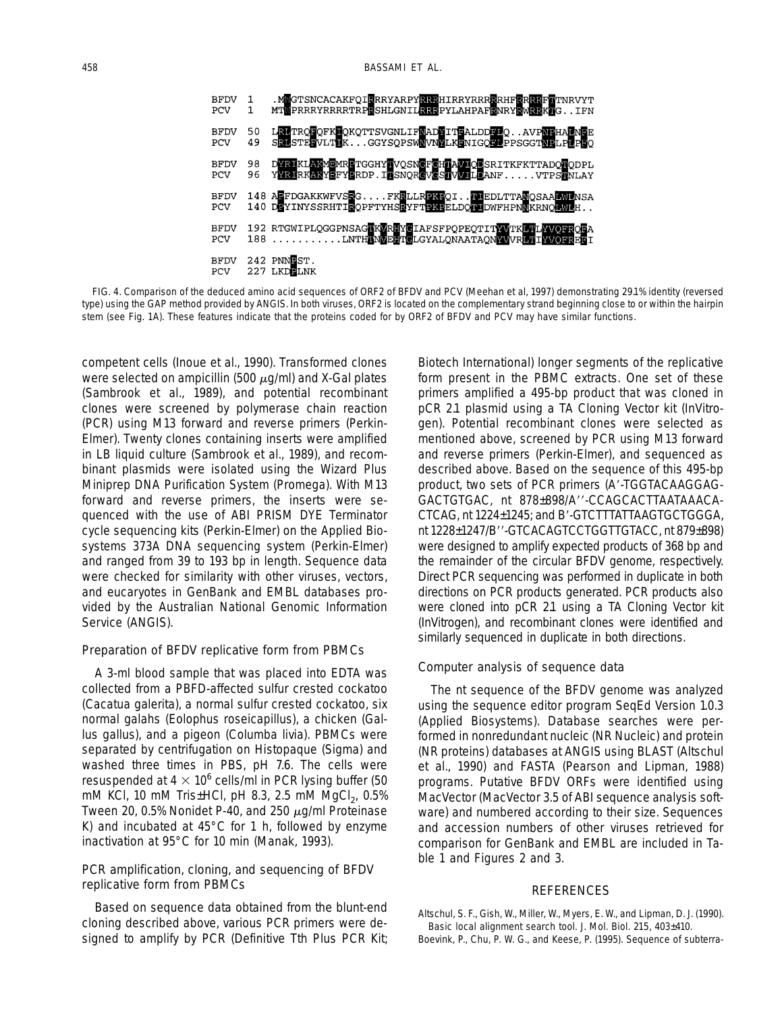

FIG. 4. Comparison of the deduced amino acid sequences of ORF2 of BFDV and PCV (Meehan *et al,* 1997) demonstrating 29.1% identity (reversed type) using the GAP method provided by ANGIS. In both viruses, ORF2 is located on the complementary strand beginning close to or within the hairpin stem (see Fig. 1A). These features indicate that the proteins coded for by ORF2 of BFDV and PCV may have similar functions.

competent cells (Inoue *et al.,* 1990). Transformed clones were selected on ampicillin (500  $\mu$ g/ml) and X-Gal plates (Sambrook *et al.,* 1989), and potential recombinant clones were screened by polymerase chain reaction (PCR) using M13 forward and reverse primers (Perkin-Elmer). Twenty clones containing inserts were amplified in LB liquid culture (Sambrook *et al.,* 1989), and recombinant plasmids were isolated using the Wizard Plus Miniprep DNA Purification System (Promega). With M13 forward and reverse primers, the inserts were sequenced with the use of ABI PRISM DYE Terminator cycle sequencing kits (Perkin-Elmer) on the Applied Biosystems 373A DNA sequencing system (Perkin-Elmer) and ranged from 39 to 193 bp in length. Sequence data were checked for similarity with other viruses, vectors, and eucaryotes in GenBank and EMBL databases provided by the Australian National Genomic Information Service (ANGIS).

## Preparation of BFDV replicative form from PBMCs

A 3-ml blood sample that was placed into EDTA was collected from a PBFD-affected sulfur crested cockatoo (*Cacatua galerita*), a normal sulfur crested cockatoo, six normal galahs (*Eolophus roseicapillus*), a chicken (*Gallus gallus*), and a pigeon (*Columba livia*). PBMCs were separated by centrifugation on Histopaque (Sigma) and washed three times in PBS, pH 7.6. The cells were resuspended at  $4 \times 10^6$  cells/ml in PCR lysing buffer (50 mM KCl, 10 mM Tris–HCl, pH 8.3, 2.5 mM MgCl<sub>2</sub>, 0.5% Tween 20, 0.5% Nonidet P-40, and 250  $\mu$ q/ml Proteinase K) and incubated at 45°C for 1 h, followed by enzyme inactivation at 95°C for 10 min (Manak, 1993).

## PCR amplification, cloning, and sequencing of BFDV replicative form from PBMCs

Based on sequence data obtained from the blunt-end cloning described above, various PCR primers were designed to amplify by PCR (Definitive Tth Plus PCR Kit; Biotech International) longer segments of the replicative form present in the PBMC extracts. One set of these primers amplified a 495-bp product that was cloned in pCR 2.1 plasmid using a TA Cloning Vector kit (InVitrogen). Potential recombinant clones were selected as mentioned above, screened by PCR using M13 forward and reverse primers (Perkin-Elmer), and sequenced as described above. Based on the sequence of this 495-bp product, two sets of PCR primers (A'-TGGTACAAGGAG-GACTGTGAC, nt 878-898/A"-CCAGCACTTAATAAACA-CTCAG, nt 1224-1245; and B'-GTCTTTATTAAGTGCTGGGA, nt 1228–1247/B''-GTCACAGTCCTGGTTGTACC, nt 879–898) were designed to amplify expected products of 368 bp and the remainder of the circular BFDV genome, respectively. Direct PCR sequencing was performed in duplicate in both directions on PCR products generated. PCR products also were cloned into pCR 2.1 using a TA Cloning Vector kit (InVitrogen), and recombinant clones were identified and similarly sequenced in duplicate in both directions.

## Computer analysis of sequence data

The nt sequence of the BFDV genome was analyzed using the sequence editor program SeqEd Version 1.0.3 (Applied Biosystems). Database searches were performed in nonredundant nucleic (NR Nucleic) and protein (NR proteins) databases at ANGIS using BLAST (Altschul *et al.,* 1990) and FASTA (Pearson and Lipman, 1988) programs. Putative BFDV ORFs were identified using MacVector (MacVector 3.5 of ABI sequence analysis software) and numbered according to their size. Sequences and accession numbers of other viruses retrieved for comparison for GenBank and EMBL are included in Table 1 and Figures 2 and 3.

### REFERENCES

Altschul, S. F., Gish, W., Miller, W., Myers, E. W., and Lipman, D. J. (1990). Basic local alignment search tool. *J. Mol. Biol.* 215, 403–410. Boevink, P., Chu, P. W. G., and Keese, P. (1995). Sequence of subterra